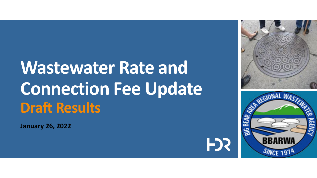## **Wastewater Rate and Connection Fee Update Draft Results**

**January 26, 2022**





FJS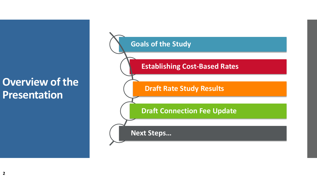### **Overview of the Presentation**

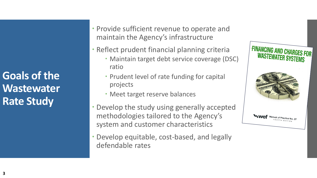**Goals of the Wastewater Rate Study**

 Provide sufficient revenue to operate and maintain the Agency's infrastructure

- Reflect prudent financial planning criteria
	- Maintain target debt service coverage (DSC) ratio
	- Prudent level of rate funding for capital projects
	- Meet target reserve balances
- Develop the study using generally accepted methodologies tailored to the Agency's system and customer characteristics
- Develop equitable, cost-based, and legally defendable rates

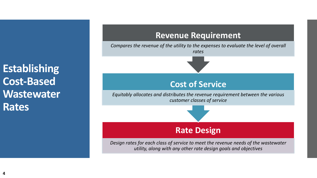**Establishing Cost-Based Wastewater Rates**

## **Revenue Requirement** *Compares the revenue of the utility to the expenses to evaluate the level of overall rates* **Cost of Service** *Equitably allocates and distributes the revenue requirement between the various customer classes of service* **Rate Design**

*Design rates for each class of service to meet the revenue needs of the wastewater utility, along with any other rate design goals and objectives*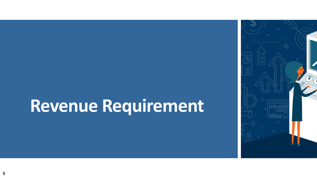# **Revenue Requirement**

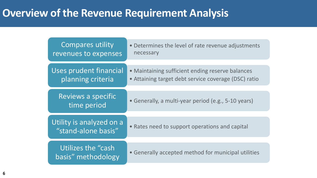## **Overview of the Revenue Requirement Analysis**

| Compares utility<br>revenues to expenses        | • Determines the level of rate revenue adjustments<br>necessary                                          |
|-------------------------------------------------|----------------------------------------------------------------------------------------------------------|
| Uses prudent financial<br>planning criteria     | • Maintaining sufficient ending reserve balances<br>• Attaining target debt service coverage (DSC) ratio |
| Reviews a specific<br>time period               | • Generally, a multi-year period (e.g., 5-10 years)                                                      |
| Utility is analyzed on a<br>"stand-alone basis" | • Rates need to support operations and capital                                                           |
| Utilizes the "cash"<br>basis" methodology       | • Generally accepted method for municipal utilities                                                      |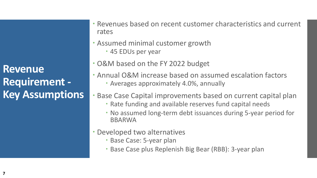**Revenue Requirement - Key Assumptions**  Revenues based on recent customer characteristics and current rates

- Assumed minimal customer growth
	- 45 EDUs per year
- O&M based on the FY 2022 budget
- Annual O&M increase based on assumed escalation factors
	- Averages approximately 4.0%, annually
- Base Case Capital improvements based on current capital plan
	- Rate funding and available reserves fund capital needs
	- No assumed long-term debt issuances during 5-year period for BBARWA
- Developed two alternatives
	- Base Case: 5-year plan
	- Base Case plus Replenish Big Bear (RBB): 3-year plan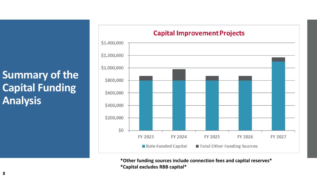## **Summary of the Capital Funding Analysis**



**\*Other funding sources include connection fees and capital reserves\* \*Capital excludes RBB capital\***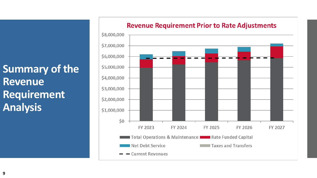**Summary of the Revenue Requirement Analysis**

#### \$8,000,000 \$7,000,000 \$6,000,000 \$5,000,000 \$4,000,000 \$3,000,000 \$2,000,000 \$1,000,000  $$0$ FY 2023 FY 2024 FY 2025 FY 2026 FY 2027 Total Operations & Maintenance **Theory Rate Funded Capital Net Debt Service** Taxes and Transfers **Current Revenues**

#### **Revenue Requirement Prior to Rate Adjustments**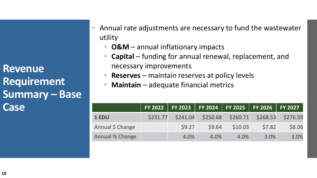**Revenue Requirement Summary – Base Case**

- Annual rate adjustments are necessary to fund the wastewater utility
	- **O&M**  annual inflationary impacts
	- **Capital** funding for annual renewal, replacement, and necessary improvements
	- **Reserves** maintain reserves at policy levels
	- **Maintain** adequate financial metrics

|                  |          |          |        |         | FY 2022 FY 2023 FY 2024 FY 2025 FY 2026 FY 2027 |        |
|------------------|----------|----------|--------|---------|-------------------------------------------------|--------|
| 1 EDU            | \$231.77 | \$241.04 |        |         | \$250.68 \$260.71 \$268.53 \$276.59             |        |
| Annual \$ Change |          | 59.27    | \$9.64 | \$10.03 | \$7.82                                          | \$8.06 |
| Annual % Change  |          | 4.0%     | 4.0%   | 4.0%    | 3.0%                                            | 3.0%   |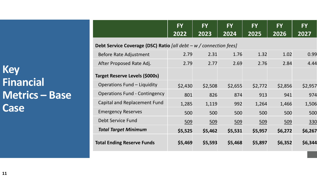|                                      | <b>FY</b><br>2022                                                   | <b>FY</b><br>2023 | <b>FY</b><br>2024 | <b>FY</b><br>2025 | <b>FY</b><br>2026 | <b>FY</b><br>2027 |
|--------------------------------------|---------------------------------------------------------------------|-------------------|-------------------|-------------------|-------------------|-------------------|
|                                      | Debt Service Coverage (DSC) Ratio [all debt $-w$ / connection fees] |                   |                   |                   |                   |                   |
| Before Rate Adjustment               | 2.79                                                                | 2.31              | 1.76              | 1.32              | 1.02              | 0.99              |
| After Proposed Rate Adj.             | 2.79                                                                | 2.77              | 2.69              | 2.76              | 2.84              | 4.44              |
| Target Reserve Levels (\$000s)       |                                                                     |                   |                   |                   |                   |                   |
| <b>Operations Fund – Liquidity</b>   | \$2,430                                                             | \$2,508           | \$2,655           | \$2,772           | \$2,856           | \$2,957           |
| <b>Operations Fund - Contingency</b> | 801                                                                 | 826               | 874               | 913               | 941               | 974               |
| <b>Capital and Replacement Fund</b>  | 1,285                                                               | 1,119             | 992               | 1,264             | 1,466             | 1,506             |
| <b>Emergency Reserves</b>            | 500                                                                 | 500               | 500               | 500               | 500               | 500               |
| Debt Service Fund                    | 509                                                                 | 509               | 509               | 509               | 509               | 330               |
| <b>Total Target Minimum</b>          | \$5,525                                                             | \$5,462           | \$5,531           | \$5,957           | \$6,272           | \$6,267           |
| <b>Total Ending Reserve Funds</b>    | \$5,469                                                             | \$5,593           | \$5,468           | \$5,897           | \$6,352           | \$6,344           |

**Key Financial Metrics – Base Case**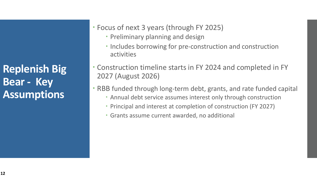**Replenish Big Bear - Key Assumptions**

- Focus of next 3 years (through FY 2025)
	- Preliminary planning and design
	- Includes borrowing for pre-construction and construction activities
- Construction timeline starts in FY 2024 and completed in FY 2027 (August 2026)
- RBB funded through long-term debt, grants, and rate funded capital
	- Annual debt service assumes interest only through construction
	- Principal and interest at completion of construction (FY 2027)
	- Grants assume current awarded, no additional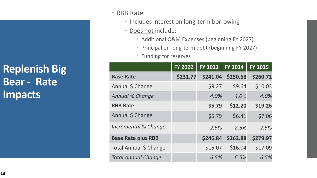**Replenish Big Bear - Rate Impacts** 

- RBB Rate
	- Includes interest on long-term borrowing
	- · Does not include:
		- Additional O&M Expenses (beginning FY 2027)
		- Principal on long-term debt (beginning FY 2027)
		- Funding for reserves

|                            | <b>FY 2022</b> | <b>FY 2023</b> | <b>FY 2024</b> | <b>FY 2025</b> |
|----------------------------|----------------|----------------|----------------|----------------|
| <b>Base Rate</b>           | \$231.77       | \$241.04       | \$250.68       | \$260.71       |
| Annual \$ Change           |                | \$9.27         | \$9.64         | \$10.03        |
| Annual % Change            |                | 4.0%           | 4.0%           | 4.0%           |
| <b>RBB Rate</b>            |                | \$5.79         | \$12.20        | \$19.26        |
| Annual \$ Change           |                | \$5.79         | \$6.41         | \$7.06         |
| Incremental % Change       |                | 2.5%           | 2.5%           | 2.5%           |
| <b>Base Rate plus RBB</b>  |                | \$246.84       | \$262.88       | \$279.97       |
| Total Annual \$ Change     |                | \$15.07        | \$16.04        | \$17.09        |
| <b>Total Annual Change</b> |                | 6.5%           | 6.5%           | 6.5%           |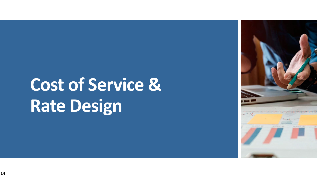# **Cost of Service & Rate Design**

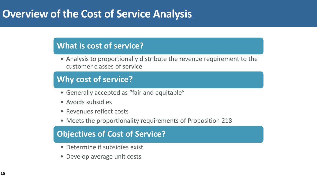### **Overview of the Cost of Service Analysis**

### **What is cost of service?**

• Analysis to proportionally distribute the revenue requirement to the customer classes of service

#### **Why cost of service?**

- Generally accepted as "fair and equitable"
- Avoids subsidies
- Revenues reflect costs
- Meets the proportionality requirements of Proposition 218

### **Objectives Objectivesooff Cos Costt oofSSeervic rvicee Objectives of Cost of Service?**

- Determine if subsidies exist
- Develop average unit costs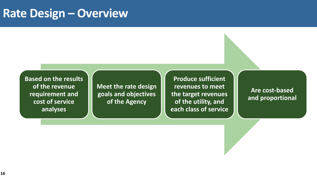### **Rate Design – Overview**

**Based on the results of the revenue requirement and cost of service analyses**

**Meet the rate design goals and objectives of the Agency**

**Produce sufficient revenues to meet the target revenues of the utility, and each class of service**

**Are cost-based and proportional**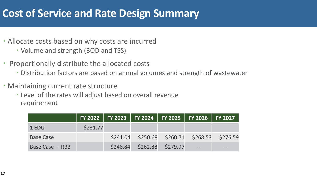### **Cost of Service and Rate Design Summary**

- Allocate costs based on why costs are incurred
	- Volume and strength (BOD and TSS)
- Proportionally distribute the allocated costs
	- Distribution factors are based on annual volumes and strength of wastewater
- Maintaining current rate structure
	- Level of the rates will adjust based on overall revenue requirement

|                  |          |  |                            | FY 2022   FY 2023   FY 2024   FY 2025   FY 2026   FY 2027 |                                                   |
|------------------|----------|--|----------------------------|-----------------------------------------------------------|---------------------------------------------------|
| 1 EDU            | \$231.77 |  |                            |                                                           |                                                   |
| <b>Base Case</b> |          |  |                            |                                                           | $$241.04$ $$250.68$ $$260.71$ $$268.53$ $$276.59$ |
| Base Case + RBB  |          |  | \$246.84 \$262.88 \$279.97 |                                                           | $\qquad \qquad -$                                 |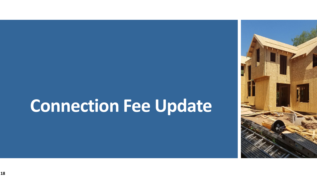## **Connection Fee Update**

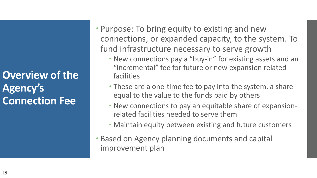**Overview of the Agency's Connection Fee**

 Purpose: To bring equity to existing and new connections, or expanded capacity, to the system. To fund infrastructure necessary to serve growth

- New connections pay a "buy-in" for existing assets and an "incremental" fee for future or new expansion related facilities
- These are a one-time fee to pay into the system, a share equal to the value to the funds paid by others
- New connections to pay an equitable share of expansionrelated facilities needed to serve them
- Maintain equity between existing and future customers
- Based on Agency planning documents and capital improvement plan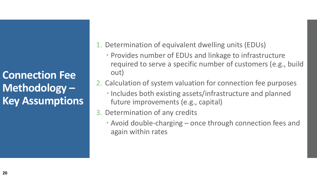**Connection Fee Methodology – Key Assumptions**

- 1. Determination of equivalent dwelling units (EDUs)
	- Provides number of EDUs and linkage to infrastructure required to serve a specific number of customers (e.g., build out)
- 2. Calculation of system valuation for connection fee purposes
	- Includes both existing assets/infrastructure and planned future improvements (e.g., capital)
- 3. Determination of any credits
	- Avoid double-charging once through connection fees and again within rates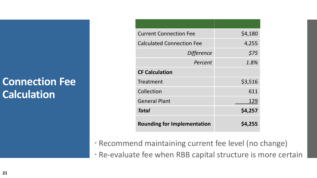## **Connection Fee Calculation**

| <b>Current Connection Fee</b>      | \$4,180 |
|------------------------------------|---------|
| <b>Calculated Connection Fee</b>   | 4,255   |
| <b>Difference</b>                  | \$75    |
| Percent                            | 1.8%    |
| <b>CF Calculation</b>              |         |
| Treatment                          | \$3,516 |
| Collection                         | 611     |
| <b>General Plant</b>               | 129     |
| <b>Total</b>                       | \$4,257 |
| <b>Rounding for Implementation</b> | \$4,255 |

Recommend maintaining current fee level (no change)

Re-evaluate fee when RBB capital structure is more certain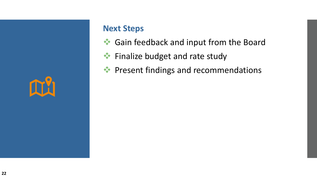

#### **Next Steps**

- Gain feedback and input from the Board
- **◆ Finalize budget and rate study**
- ◆ Present findings and recommendations